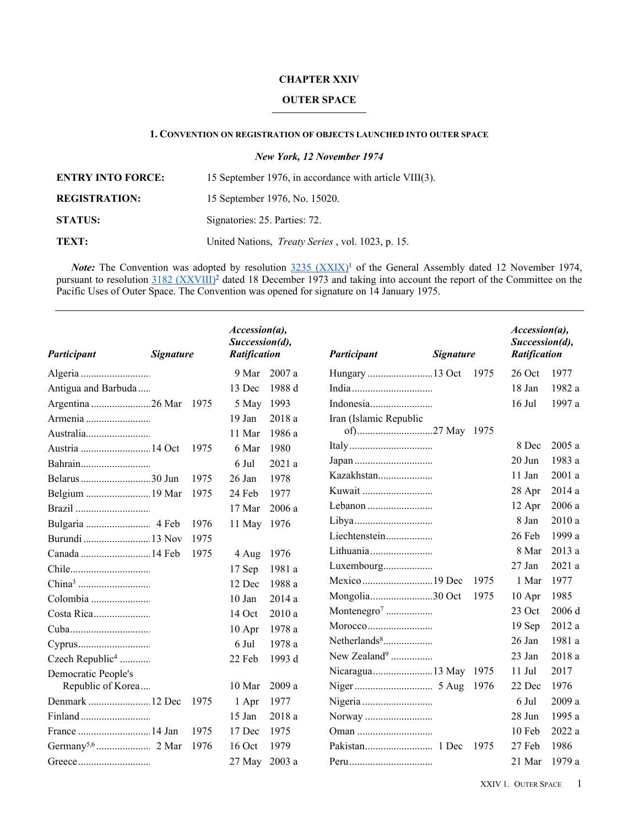### **CHAPTER XXIV**

## **OUTER SPACE**

## **1. CONVENTION ON REGISTRATION OF OBJECTS LAUNCHED INTO OUTER SPACE**

*New York, 12 November 1974*

| <b>ENTRY INTO FORCE:</b> | 15 September 1976, in accordance with article VIII(3).   |
|--------------------------|----------------------------------------------------------|
| <b>REGISTRATION:</b>     | 15 September 1976, No. 15020.                            |
| <b>STATUS:</b>           | Signatories: 25. Parties: 72.                            |
| TEXT:                    | United Nations, <i>Treaty Series</i> , vol. 1023, p. 15. |

*Note:* The Convention was adopted by resolution  $3235 (XXIX)^1$  $3235 (XXIX)^1$  of the General Assembly dated 12 November 1974, pursuant to resolution [3182 \(XXVIII\)](https://treaties.un.org//doc/source/docs/A_RES_28_3182-E.pdf)<sup>2</sup> dated 18 December 1973 and taking into account the report of the Committee on the Pacific Uses of Outer Space. The Convention was opened for signature on 14 January 1975.

| Participant                 | <b>Signature</b> |      | $Accession(a)$ ,<br>Succession(d),<br><b>Ratification</b> |        | Participant              | <b>Signature</b> |       | $Accession(a)$ ,<br>Succession(d),<br><b>Ratification</b> |        |
|-----------------------------|------------------|------|-----------------------------------------------------------|--------|--------------------------|------------------|-------|-----------------------------------------------------------|--------|
|                             |                  |      | 9 Mar                                                     | 2007a  |                          |                  | 1975  | $26$ Oct                                                  | 1977   |
| Antigua and Barbuda         |                  |      | 13 Dec                                                    | 1988 d |                          |                  |       | 18 Jan                                                    | 1982 a |
| Argentina 26 Mar            |                  | 1975 | 5 May 1993                                                |        |                          |                  |       | $16$ Jul                                                  | 1997 a |
| Armenia                     |                  |      | $19$ Jan                                                  | 2018 a | Iran (Islamic Republic   |                  |       |                                                           |        |
|                             |                  |      | 11 Mar                                                    | 1986 a |                          |                  |       |                                                           |        |
| Austria  14 Oct             |                  | 1975 | 6 Mar                                                     | 1980   |                          |                  |       | 8 Dec                                                     | 2005 a |
|                             |                  |      | 6 Jul                                                     | 2021a  |                          |                  |       | 20 Jun                                                    | 1983 a |
|                             |                  | 1975 | 26 Jan                                                    | 1978   | Kazakhstan               |                  |       | 11 Jan                                                    | 2001 a |
| Belgium  19 Mar             |                  | 1975 | 24 Feb                                                    | 1977   | Kuwait                   |                  |       | 28 Apr                                                    | 2014 a |
|                             |                  |      | 17 Mar                                                    | 2006a  |                          |                  |       | 12 Apr                                                    | 2006 a |
|                             |                  | 1976 | 11 May 1976                                               |        |                          |                  |       | 8 Jan                                                     | 2010 a |
|                             |                  | 1975 |                                                           |        | Liechtenstein            |                  |       | 26 Feb                                                    | 1999 a |
| Canada  14 Feb              |                  | 1975 | 4 Aug                                                     | 1976   | Lithuania                |                  |       | 8 Mar                                                     | 2013 a |
|                             |                  |      | 17 Sep                                                    | 1981 a | Luxembourg               |                  |       | $27$ Jan                                                  | 2021 a |
|                             |                  |      | 12 Dec                                                    | 1988 a |                          |                  | 1975  | 1 Mar                                                     | 1977   |
| Colombia                    |                  |      | $10$ Jan                                                  | 2014a  |                          |                  | 1975  | $10$ Apr                                                  | 1985   |
| Costa Rica                  |                  |      | $14$ Oct                                                  | 2010a  |                          |                  |       | 23 Oct                                                    | 2006 d |
|                             |                  |      | $10$ Apr                                                  | 1978 a |                          |                  |       | $19$ Sep                                                  | 2012 a |
|                             |                  |      | 6 Jul                                                     | 1978 a | Netherlands <sup>8</sup> |                  |       | $26$ Jan                                                  | 1981 a |
| Czech Republic <sup>4</sup> |                  |      | 22 Feb                                                    | 1993 d | New Zealand <sup>9</sup> |                  |       | 23 Jan                                                    | 2018 a |
| Democratic People's         |                  |      |                                                           |        | Nicaragua 13 May 1975    |                  |       | $11$ Jul                                                  | 2017   |
| Republic of Korea           |                  |      | 10 Mar                                                    | 2009 a |                          |                  | -1976 | 22 Dec                                                    | 1976   |
|                             |                  | 1975 | 1 Apr                                                     | 1977   |                          |                  |       | 6 Jul                                                     | 2009 a |
|                             |                  |      | 15 Jan                                                    | 2018a  |                          |                  |       | 28 Jun                                                    | 1995 a |
| France  14 Jan              |                  | 1975 | 17 Dec                                                    | 1975   |                          |                  |       | 10 Feb                                                    | 2022 a |
|                             |                  | 1976 | $16$ Oct                                                  | 1979   |                          |                  | 1975  | 27 Feb                                                    | 1986   |
|                             |                  |      | 27 May 2003 a                                             |        |                          |                  |       | 21 Mar                                                    | 1979 a |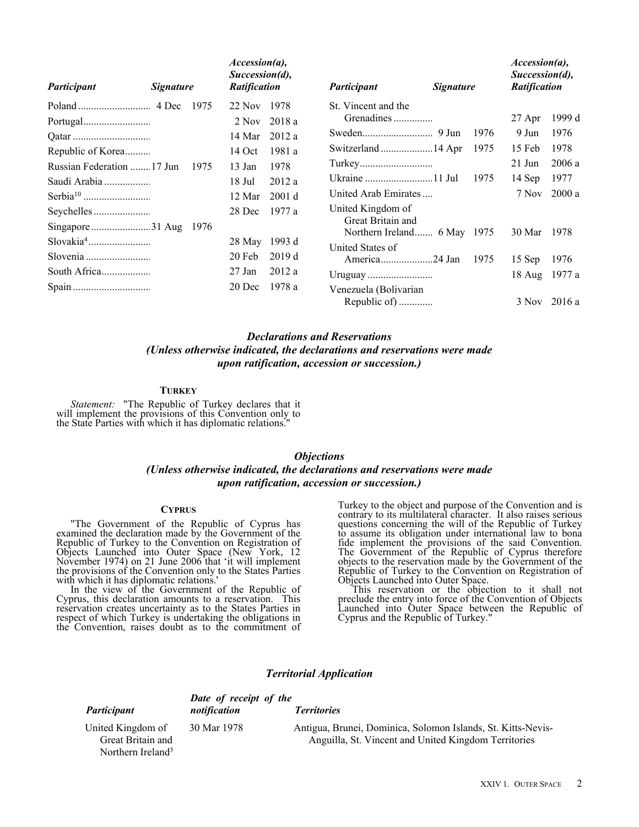| Participant                | <b>Signature</b> |      | $\textit{Accession}(a)$ ,<br>Succession(d),<br><b>Ratification</b> |        | Participant                                      | <i>Signature</i> |      | $\textit{Accession}(a)$ ,<br>Succession(d),<br><b>Ratification</b> |        |
|----------------------------|------------------|------|--------------------------------------------------------------------|--------|--------------------------------------------------|------------------|------|--------------------------------------------------------------------|--------|
|                            |                  | 1975 | $22$ Nov                                                           | 1978   | St. Vincent and the                              |                  |      |                                                                    |        |
|                            |                  |      | 2 Nov                                                              | 2018 a | Grenadines                                       |                  |      | 27 Apr                                                             | 1999 d |
|                            |                  |      | 14 Mar                                                             | 2012a  |                                                  |                  | 1976 | 9 Jun                                                              | 1976   |
| Republic of Korea          |                  |      | 14 Oct                                                             | 1981 a | Switzerland  14 Apr                              |                  | 1975 | 15 Feb                                                             | 1978   |
| Russian Federation  17 Jun |                  | 1975 | $13$ Jan                                                           | 1978   |                                                  |                  |      | $21$ Jun                                                           | 2006a  |
| Saudi Arabia               |                  |      | 18 Jul                                                             | 2012a  | Ukraine  11 Jul                                  |                  | 1975 | $14$ Sep                                                           | 1977   |
|                            |                  |      | 12 Mar                                                             | 2001 d | United Arab Emirates                             |                  |      | 7 Nov                                                              | 2000a  |
|                            |                  |      | 28 Dec                                                             | 1977 a | United Kingdom of                                |                  |      |                                                                    |        |
|                            |                  | 1976 |                                                                    |        | Great Britain and<br>Northern Ireland 6 May 1975 |                  |      | 30 Mar                                                             | 1978   |
|                            |                  |      | 28 May                                                             | 1993 d | United States of                                 |                  |      |                                                                    |        |
|                            |                  |      | 20 Feb                                                             | 2019d  | America24 Jan                                    |                  | 1975 | 15 Sep                                                             | 1976   |
| South Africa               |                  |      | 27 Jan                                                             | 2012a  |                                                  |                  |      | 18 Aug                                                             | 1977 a |
|                            |                  |      | 20 Dec                                                             | 1978 a | Venezuela (Bolivarian                            |                  |      |                                                                    |        |
|                            |                  |      |                                                                    |        | Republic of)                                     |                  |      | 3 Nov                                                              | 2016 a |

# *Declarations and Reservations (Unless otherwise indicated, the declarations and reservations were made upon ratification, accession or succession.)*

#### **TURKEY**

*Statement:* "The Republic of Turkey declares that it will implement the provisions of this Convention only to the State Parties with which it has diplomatic relations."

## *Objections*

## *(Unless otherwise indicated, the declarations and reservations were made upon ratification, accession or succession.)*

#### **CYPRUS**

"The Government of the Republic of Cyprus has examined the declaration made by the Government of the Republic of Turkey to the Convention on Registration of Objects Launched into Outer Space (New York, 12 November 1974) on 21 June 2006 that 'it will implement the provisions of the Convention only to the States Parties with which it has diplomatic relations.'

In the view of the Government of the Republic of Cyprus, this declaration amounts to a reservation. This reservation creates uncertainty as to the States Parties in respect of which Turkey is undertaking the obligations in the Convention, raises doubt as to the commitment of Turkey to the object and purpose of the Convention and is contrary to its multilateral character. It also raises serious questions concerning the will of the Republic of Turkey to assume its obligation under international law to bona fide implement the provisions of the said Convention. The Government of the Republic of Cyprus therefore objects to the reservation made by the Government of the Republic of Turkey to the Convention on Registration of Objects Launched into Outer Space.

This reservation or the objection to it shall not preclude the entry into force of the Convention of Objects Launched into Outer Space between the Republic of Cyprus and the Republic of Turkey."

## *Territorial Application*

|                                                                         | Date of receipt of the |                                                                                                                      |  |
|-------------------------------------------------------------------------|------------------------|----------------------------------------------------------------------------------------------------------------------|--|
| Participant                                                             | notification           | <b>Territories</b>                                                                                                   |  |
| United Kingdom of<br>Great Britain and<br>Northern Ireland <sup>3</sup> | 30 Mar 1978            | Antigua, Brunei, Dominica, Solomon Islands, St. Kitts-Nevis-<br>Anguilla, St. Vincent and United Kingdom Territories |  |